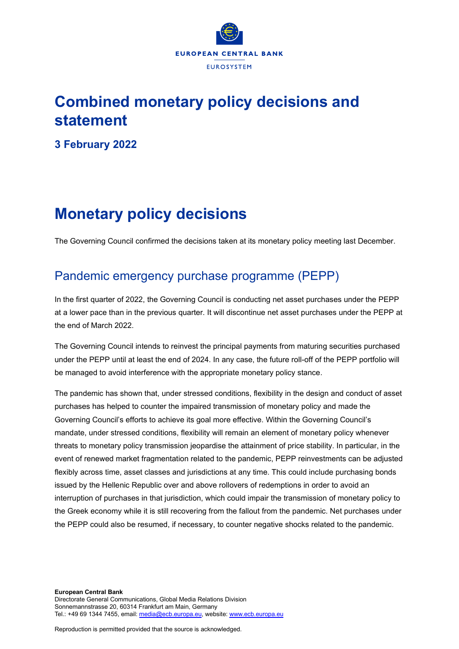

# **Combined monetary policy decisions and statement**

**3 February 2022**

# **Monetary policy decisions**

The Governing Council confirmed the decisions taken at its monetary policy meeting last December.

### Pandemic emergency purchase programme (PEPP)

In the first quarter of 2022, the Governing Council is conducting net asset purchases under the PEPP at a lower pace than in the previous quarter. It will discontinue net asset purchases under the PEPP at the end of March 2022.

The Governing Council intends to reinvest the principal payments from maturing securities purchased under the PEPP until at least the end of 2024. In any case, the future roll-off of the PEPP portfolio will be managed to avoid interference with the appropriate monetary policy stance.

The pandemic has shown that, under stressed conditions, flexibility in the design and conduct of asset purchases has helped to counter the impaired transmission of monetary policy and made the Governing Council's efforts to achieve its goal more effective. Within the Governing Council's mandate, under stressed conditions, flexibility will remain an element of monetary policy whenever threats to monetary policy transmission jeopardise the attainment of price stability. In particular, in the event of renewed market fragmentation related to the pandemic, PEPP reinvestments can be adjusted flexibly across time, asset classes and jurisdictions at any time. This could include purchasing bonds issued by the Hellenic Republic over and above rollovers of redemptions in order to avoid an interruption of purchases in that jurisdiction, which could impair the transmission of monetary policy to the Greek economy while it is still recovering from the fallout from the pandemic. Net purchases under the PEPP could also be resumed, if necessary, to counter negative shocks related to the pandemic.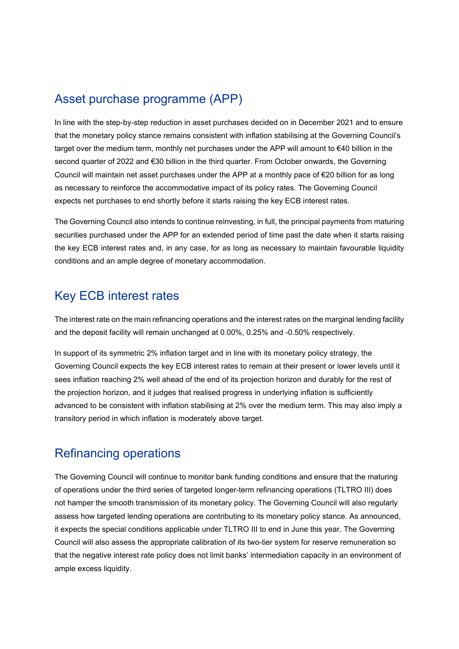### Asset purchase programme (APP)

In line with the step-by-step reduction in asset purchases decided on in December 2021 and to ensure that the monetary policy stance remains consistent with inflation stabilising at the Governing Council's target over the medium term, monthly net purchases under the APP will amount to €40 billion in the second quarter of 2022 and €30 billion in the third quarter. From October onwards, the Governing Council will maintain net asset purchases under the APP at a monthly pace of  $\epsilon$ 20 billion for as long as necessary to reinforce the accommodative impact of its policy rates. The Governing Council expects net purchases to end shortly before it starts raising the key ECB interest rates.

The Governing Council also intends to continue reinvesting, in full, the principal payments from maturing securities purchased under the APP for an extended period of time past the date when it starts raising the key ECB interest rates and, in any case, for as long as necessary to maintain favourable liquidity conditions and an ample degree of monetary accommodation.

### Key ECB interest rates

The interest rate on the main refinancing operations and the interest rates on the marginal lending facility and the deposit facility will remain unchanged at 0.00%, 0.25% and -0.50% respectively.

In support of its symmetric 2% inflation target and in line with its monetary policy strategy, the Governing Council expects the key ECB interest rates to remain at their present or lower levels until it sees inflation reaching 2% well ahead of the end of its projection horizon and durably for the rest of the projection horizon, and it judges that realised progress in underlying inflation is sufficiently advanced to be consistent with inflation stabilising at 2% over the medium term. This may also imply a transitory period in which inflation is moderately above target.

### Refinancing operations

The Governing Council will continue to monitor bank funding conditions and ensure that the maturing of operations under the third series of targeted longer-term refinancing operations (TLTRO III) does not hamper the smooth transmission of its monetary policy. The Governing Council will also regularly assess how targeted lending operations are contributing to its monetary policy stance. As announced, it expects the special conditions applicable under TLTRO III to end in June this year. The Governing Council will also assess the appropriate calibration of its two-tier system for reserve remuneration so that the negative interest rate policy does not limit banks' intermediation capacity in an environment of ample excess liquidity.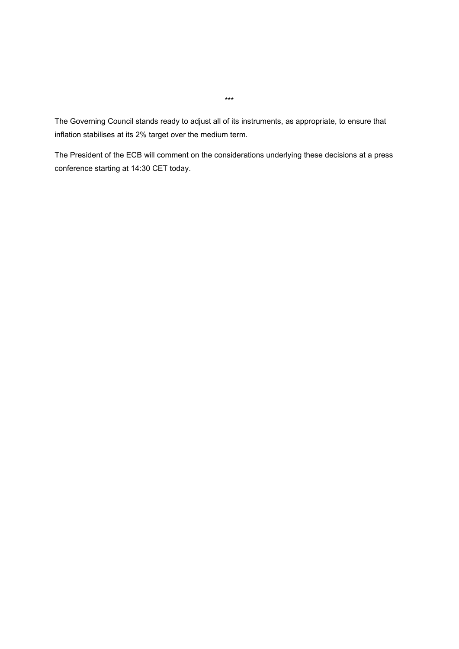The Governing Council stands ready to adjust all of its instruments, as appropriate, to ensure that inflation stabilises at its 2% target over the medium term.

The President of the ECB will comment on the considerations underlying these decisions at a press conference starting at 14:30 CET today.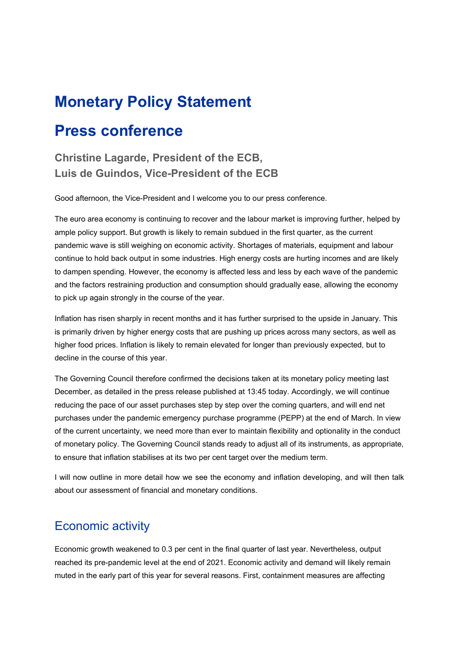# **Monetary Policy Statement**

## **Press conference**

**Christine Lagarde, President of the ECB, Luis de Guindos, Vice-President of the ECB**

Good afternoon, the Vice-President and I welcome you to our press conference.

The euro area economy is continuing to recover and the labour market is improving further, helped by ample policy support. But growth is likely to remain subdued in the first quarter, as the current pandemic wave is still weighing on economic activity. Shortages of materials, equipment and labour continue to hold back output in some industries. High energy costs are hurting incomes and are likely to dampen spending. However, the economy is affected less and less by each wave of the pandemic and the factors restraining production and consumption should gradually ease, allowing the economy to pick up again strongly in the course of the year.

Inflation has risen sharply in recent months and it has further surprised to the upside in January. This is primarily driven by higher energy costs that are pushing up prices across many sectors, as well as higher food prices. Inflation is likely to remain elevated for longer than previously expected, but to decline in the course of this year.

The Governing Council therefore confirmed the decisions taken at its monetary policy meeting last December, as detailed in the press release published at 13:45 today. Accordingly, we will continue reducing the pace of our asset purchases step by step over the coming quarters, and will end net purchases under the pandemic emergency purchase programme (PEPP) at the end of March. In view of the current uncertainty, we need more than ever to maintain flexibility and optionality in the conduct of monetary policy. The Governing Council stands ready to adjust all of its instruments, as appropriate, to ensure that inflation stabilises at its two per cent target over the medium term.

I will now outline in more detail how we see the economy and inflation developing, and will then talk about our assessment of financial and monetary conditions.

### Economic activity

Economic growth weakened to 0.3 per cent in the final quarter of last year. Nevertheless, output reached its pre-pandemic level at the end of 2021. Economic activity and demand will likely remain muted in the early part of this year for several reasons. First, containment measures are affecting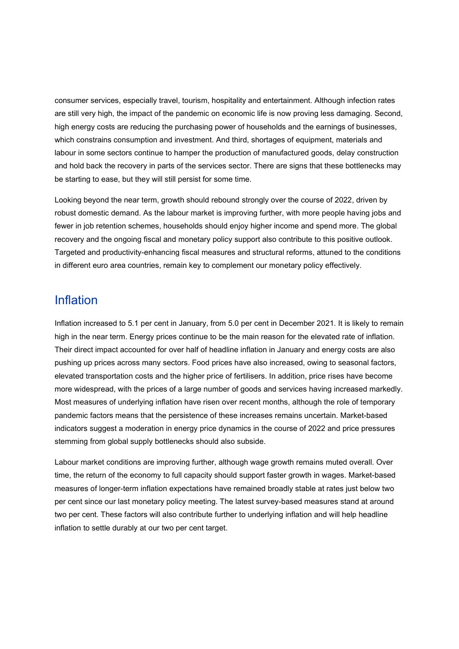consumer services, especially travel, tourism, hospitality and entertainment. Although infection rates are still very high, the impact of the pandemic on economic life is now proving less damaging. Second, high energy costs are reducing the purchasing power of households and the earnings of businesses, which constrains consumption and investment. And third, shortages of equipment, materials and labour in some sectors continue to hamper the production of manufactured goods, delay construction and hold back the recovery in parts of the services sector. There are signs that these bottlenecks may be starting to ease, but they will still persist for some time.

Looking beyond the near term, growth should rebound strongly over the course of 2022, driven by robust domestic demand. As the labour market is improving further, with more people having jobs and fewer in job retention schemes, households should enjoy higher income and spend more. The global recovery and the ongoing fiscal and monetary policy support also contribute to this positive outlook. Targeted and productivity-enhancing fiscal measures and structural reforms, attuned to the conditions in different euro area countries, remain key to complement our monetary policy effectively.

### Inflation

Inflation increased to 5.1 per cent in January, from 5.0 per cent in December 2021. It is likely to remain high in the near term. Energy prices continue to be the main reason for the elevated rate of inflation. Their direct impact accounted for over half of headline inflation in January and energy costs are also pushing up prices across many sectors. Food prices have also increased, owing to seasonal factors, elevated transportation costs and the higher price of fertilisers. In addition, price rises have become more widespread, with the prices of a large number of goods and services having increased markedly. Most measures of underlying inflation have risen over recent months, although the role of temporary pandemic factors means that the persistence of these increases remains uncertain. Market-based indicators suggest a moderation in energy price dynamics in the course of 2022 and price pressures stemming from global supply bottlenecks should also subside.

Labour market conditions are improving further, although wage growth remains muted overall. Over time, the return of the economy to full capacity should support faster growth in wages. Market-based measures of longer-term inflation expectations have remained broadly stable at rates just below two per cent since our last monetary policy meeting. The latest survey-based measures stand at around two per cent. These factors will also contribute further to underlying inflation and will help headline inflation to settle durably at our two per cent target.